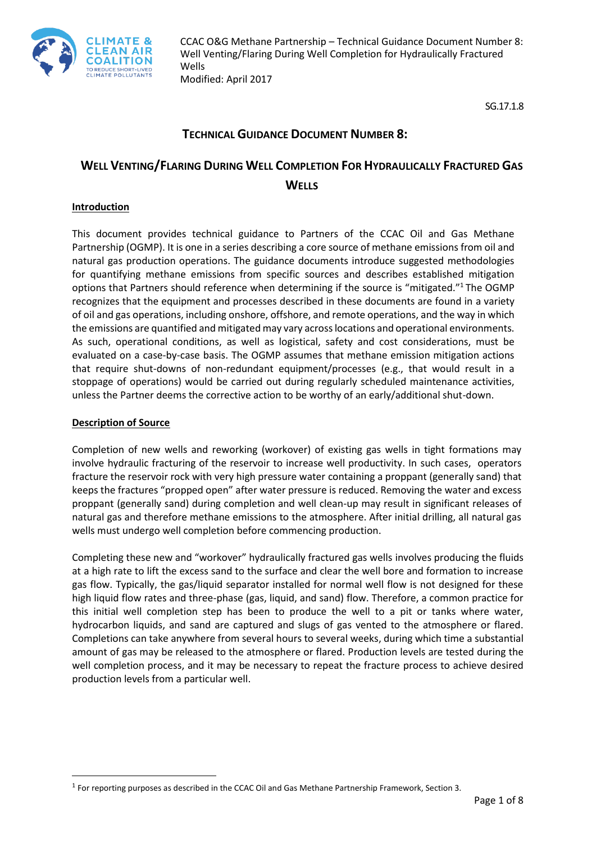

SG.17.1.8

# **TECHNICAL GUIDANCE DOCUMENT NUMBER 8:**

# **WELL VENTING/FLARING DURING WELL COMPLETION FOR HYDRAULICALLY FRACTURED GAS WELLS**

#### **Introduction**

This document provides technical guidance to Partners of the CCAC Oil and Gas Methane Partnership (OGMP). It is one in a series describing a core source of methane emissions from oil and natural gas production operations. The guidance documents introduce suggested methodologies for quantifying methane emissions from specific sources and describes established mitigation options that Partners should reference when determining if the source is "mitigated."<sup>1</sup> The OGMP recognizes that the equipment and processes described in these documents are found in a variety of oil and gas operations, including onshore, offshore, and remote operations, and the way in which the emissions are quantified and mitigated may vary across locations and operational environments. As such, operational conditions, as well as logistical, safety and cost considerations, must be evaluated on a case-by-case basis. The OGMP assumes that methane emission mitigation actions that require shut-downs of non-redundant equipment/processes (e.g., that would result in a stoppage of operations) would be carried out during regularly scheduled maintenance activities, unless the Partner deems the corrective action to be worthy of an early/additional shut-down.

#### **Description of Source**

 $\overline{\phantom{a}}$ 

Completion of new wells and reworking (workover) of existing gas wells in tight formations may involve hydraulic fracturing of the reservoir to increase well productivity. In such cases, operators fracture the reservoir rock with very high pressure water containing a proppant (generally sand) that keeps the fractures "propped open" after water pressure is reduced. Removing the water and excess proppant (generally sand) during completion and well clean-up may result in significant releases of natural gas and therefore methane emissions to the atmosphere. After initial drilling, all natural gas wells must undergo well completion before commencing production.

Completing these new and "workover" hydraulically fractured gas wells involves producing the fluids at a high rate to lift the excess sand to the surface and clear the well bore and formation to increase gas flow. Typically, the gas/liquid separator installed for normal well flow is not designed for these high liquid flow rates and three-phase (gas, liquid, and sand) flow. Therefore, a common practice for this initial well completion step has been to produce the well to a pit or tanks where water, hydrocarbon liquids, and sand are captured and slugs of gas vented to the atmosphere or flared. Completions can take anywhere from several hours to several weeks, during which time a substantial amount of gas may be released to the atmosphere or flared. Production levels are tested during the well completion process, and it may be necessary to repeat the fracture process to achieve desired production levels from a particular well.

 $^1$  For reporting purposes as described in the CCAC Oil and Gas Methane Partnership Framework, Section 3.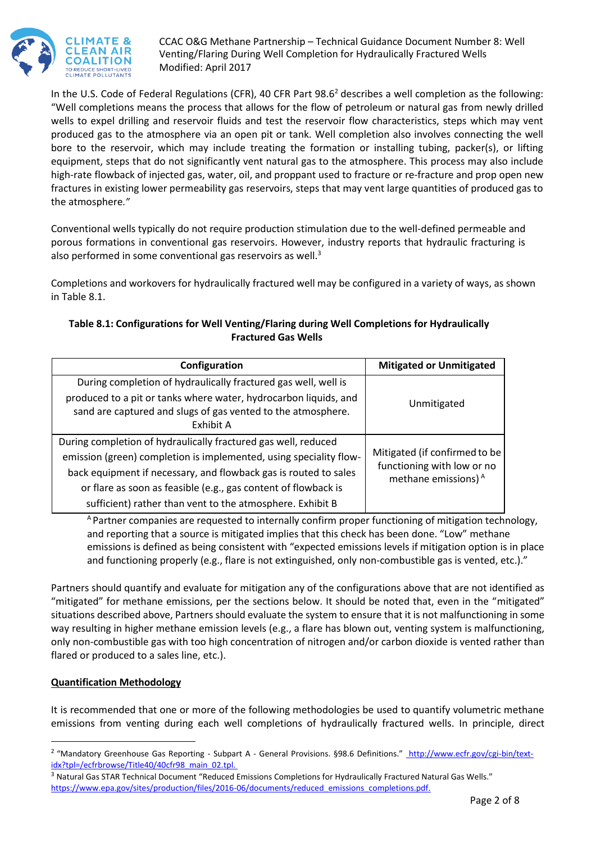

In the U.S. Code of Federal Regulations (CFR), 40 CFR Part 98.6<sup>2</sup> describes a well completion as the following: "Well completions means the process that allows for the flow of petroleum or natural gas from newly drilled wells to expel drilling and reservoir fluids and test the reservoir flow characteristics, steps which may vent produced gas to the atmosphere via an open pit or tank. Well completion also involves connecting the well bore to the reservoir, which may include treating the formation or installing tubing, packer(s), or lifting equipment, steps that do not significantly vent natural gas to the atmosphere. This process may also include high-rate flowback of injected gas, water, oil, and proppant used to fracture or re-fracture and prop open new fractures in existing lower permeability gas reservoirs, steps that may vent large quantities of produced gas to the atmosphere*."*

Conventional wells typically do not require production stimulation due to the well-defined permeable and porous formations in conventional gas reservoirs. However, industry reports that hydraulic fracturing is also performed in some conventional gas reservoirs as well.<sup>3</sup>

Completions and workovers for hydraulically fractured well may be configured in a variety of ways, as shown in Table 8.1.

## **Table 8.1: Configurations for Well Venting/Flaring during Well Completions for Hydraulically Fractured Gas Wells**

| Configuration                                                                                                                                                                                                                                                                                                                           | <b>Mitigated or Unmitigated</b>                                                                |
|-----------------------------------------------------------------------------------------------------------------------------------------------------------------------------------------------------------------------------------------------------------------------------------------------------------------------------------------|------------------------------------------------------------------------------------------------|
| During completion of hydraulically fractured gas well, well is<br>produced to a pit or tanks where water, hydrocarbon liquids, and<br>sand are captured and slugs of gas vented to the atmosphere.<br>Exhibit A                                                                                                                         | Unmitigated                                                                                    |
| During completion of hydraulically fractured gas well, reduced<br>emission (green) completion is implemented, using speciality flow-<br>back equipment if necessary, and flowback gas is routed to sales<br>or flare as soon as feasible (e.g., gas content of flowback is<br>sufficient) rather than vent to the atmosphere. Exhibit B | Mitigated (if confirmed to be<br>functioning with low or no<br>methane emissions) <sup>A</sup> |

<sup>A</sup> Partner companies are requested to internally confirm proper functioning of mitigation technology, and reporting that a source is mitigated implies that this check has been done. "Low" methane emissions is defined as being consistent with "expected emissions levels if mitigation option is in place and functioning properly (e.g., flare is not extinguished, only non-combustible gas is vented, etc.)."

Partners should quantify and evaluate for mitigation any of the configurations above that are not identified as "mitigated" for methane emissions, per the sections below. It should be noted that, even in the "mitigated" situations described above, Partners should evaluate the system to ensure that it is not malfunctioning in some way resulting in higher methane emission levels (e.g., a flare has blown out, venting system is malfunctioning, only non-combustible gas with too high concentration of nitrogen and/or carbon dioxide is vented rather than flared or produced to a sales line, etc.).

## **Quantification Methodology**

 $\overline{\phantom{a}}$ 

It is recommended that one or more of the following methodologies be used to quantify volumetric methane emissions from venting during each well completions of hydraulically fractured wells. In principle, direct

<sup>&</sup>lt;sup>2</sup> "Mandatory Greenhouse Gas Reporting - Subpart A - General Provisions. §98.6 Definitions." [http://www.ecfr.gov/cgi-bin/text](http://www.ecfr.gov/cgi-bin/text-idx?tpl=/ecfrbrowse/Title40/40cfr98_main_02.tpl)[idx?tpl=/ecfrbrowse/Title40/40cfr98\\_main\\_02.tpl.](http://www.ecfr.gov/cgi-bin/text-idx?tpl=/ecfrbrowse/Title40/40cfr98_main_02.tpl)

 $3$  Natural Gas STAR Technical Document "Reduced Emissions Completions for Hydraulically Fractured Natural Gas Wells." https://www.epa.gov/sites/production/files/2016-06/documents/reduced\_emissions\_completions.pdf.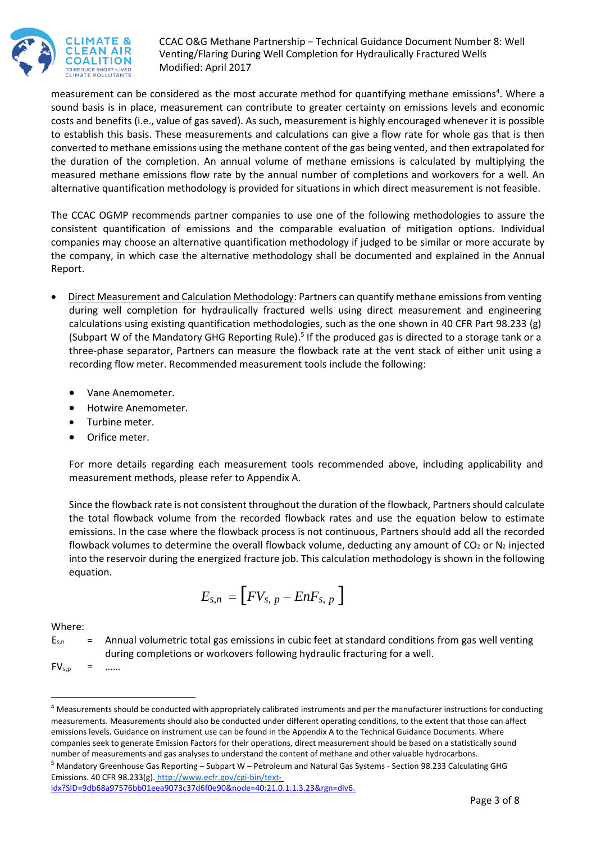

measurement can be considered as the most accurate method for quantifying methane emissions<sup>4</sup>. Where a sound basis is in place, measurement can contribute to greater certainty on emissions levels and economic costs and benefits (i.e., value of gas saved). As such, measurement is highly encouraged whenever it is possible to establish this basis. These measurements and calculations can give a flow rate for whole gas that is then converted to methane emissions using the methane content of the gas being vented, and then extrapolated for the duration of the completion. An annual volume of methane emissions is calculated by multiplying the measured methane emissions flow rate by the annual number of completions and workovers for a well. An alternative quantification methodology is provided for situations in which direct measurement is not feasible.

The CCAC OGMP recommends partner companies to use one of the following methodologies to assure the consistent quantification of emissions and the comparable evaluation of mitigation options. Individual companies may choose an alternative quantification methodology if judged to be similar or more accurate by the company, in which case the alternative methodology shall be documented and explained in the Annual Report.

- Direct Measurement and Calculation Methodology: Partners can quantify methane emissions from venting during well completion for hydraulically fractured wells using direct measurement and engineering calculations using existing quantification methodologies, such as the one shown in 40 CFR Part 98.233 (g) (Subpart W of the Mandatory GHG Reporting Rule).<sup>5</sup> If the produced gas is directed to a storage tank or a three-phase separator, Partners can measure the flowback rate at the vent stack of either unit using a recording flow meter. Recommended measurement tools include the following:
	- Vane Anemometer.
	- Hotwire Anemometer.
	- Turbine meter.
	- Orifice meter.

For more details regarding each measurement tools recommended above, including applicability and measurement methods, please refer to Appendix A.

Since the flowback rate is not consistent throughout the duration of the flowback, Partners should calculate the total flowback volume from the recorded flowback rates and use the equation below to estimate emissions. In the case where the flowback process is not continuous, Partners should add all the recorded flowback volumes to determine the overall flowback volume, deducting any amount of  $CO<sub>2</sub>$  or N<sub>2</sub> injected into the reservoir during the energized fracture job. This calculation methodology is shown in the following equation.

$$
E_{s,n}=\left[ FV_{s, p}-EnF_{s, p}\right]
$$

## Where:

l

 $E_{s,n}$  = Annual volumetric total gas emissions in cubic feet at standard conditions from gas well venting during completions or workovers following hydraulic fracturing for a well.

 $FV_{s,p}$  = ……

<sup>&</sup>lt;sup>4</sup> Measurements should be conducted with appropriately calibrated instruments and per the manufacturer instructions for conducting measurements. Measurements should also be conducted under different operating conditions, to the extent that those can affect emissions levels. Guidance on instrument use can be found in the Appendix A to the Technical Guidance Documents. Where companies seek to generate Emission Factors for their operations, direct measurement should be based on a statistically sound number of measurements and gas analyses to understand the content of methane and other valuable hydrocarbons.

<sup>5</sup> Mandatory Greenhouse Gas Reporting – Subpart W – Petroleum and Natural Gas Systems - Section 98.233 Calculating GHG Emissions. 40 CFR 98.233(g). <http://www.ecfr.gov/cgi-bin/text>[-](http://www.ecfr.gov/cgi-bin/text-idx?SID=9db68a97576bb01eea9073c37d6f0e90&node=40:21.0.1.1.3.23&rgn=div6)

[idx?SID=9db68a97576bb01eea9073c37d6f0e90&node=40:21.0.1.1.3.23&rgn=div6](http://www.ecfr.gov/cgi-bin/text-idx?SID=9db68a97576bb01eea9073c37d6f0e90&node=40:21.0.1.1.3.23&rgn=div6).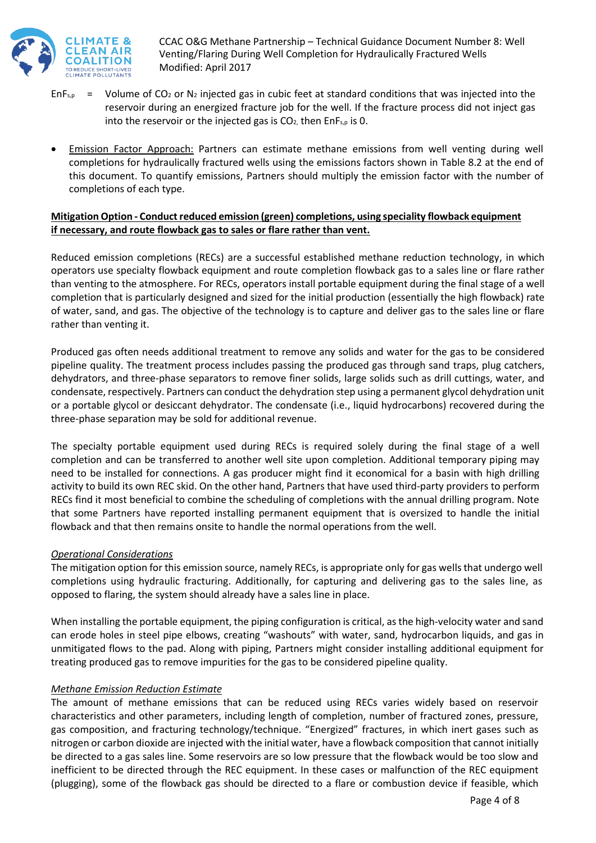

- EnF<sub>s,p</sub> = Volume of CO<sub>2</sub> or N<sub>2</sub> injected gas in cubic feet at standard conditions that was injected into the reservoir during an energized fracture job for the well. If the fracture process did not inject gas into the reservoir or the injected gas is  $CO<sub>2</sub>$ , then EnF<sub>s,p</sub> is 0.
- Emission Factor Approach: Partners can estimate methane emissions from well venting during well completions for hydraulically fractured wells using the emissions factors shown in Table 8.2 at the end of this document. To quantify emissions, Partners should multiply the emission factor with the number of completions of each type.

## **Mitigation Option - Conduct reduced emission (green) completions, using speciality flowback equipment if necessary, and route flowback gas to sales or flare rather than vent.**

Reduced emission completions (RECs) are a successful established methane reduction technology, in which operators use specialty flowback equipment and route completion flowback gas to a sales line or flare rather than venting to the atmosphere. For RECs, operators install portable equipment during the final stage of a well completion that is particularly designed and sized for the initial production (essentially the high flowback) rate of water, sand, and gas. The objective of the technology is to capture and deliver gas to the sales line or flare rather than venting it.

Produced gas often needs additional treatment to remove any solids and water for the gas to be considered pipeline quality. The treatment process includes passing the produced gas through sand traps, plug catchers, dehydrators, and three-phase separators to remove finer solids, large solids such as drill cuttings, water, and condensate, respectively. Partners can conduct the dehydration step using a permanent glycol dehydration unit or a portable glycol or desiccant dehydrator. The condensate (i.e., liquid hydrocarbons) recovered during the three-phase separation may be sold for additional revenue.

The specialty portable equipment used during RECs is required solely during the final stage of a well completion and can be transferred to another well site upon completion. Additional temporary piping may need to be installed for connections. A gas producer might find it economical for a basin with high drilling activity to build its own REC skid. On the other hand, Partners that have used third-party providers to perform RECs find it most beneficial to combine the scheduling of completions with the annual drilling program. Note that some Partners have reported installing permanent equipment that is oversized to handle the initial flowback and that then remains onsite to handle the normal operations from the well.

## *Operational Considerations*

The mitigation option for this emission source, namely RECs, is appropriate only for gas wells that undergo well completions using hydraulic fracturing. Additionally, for capturing and delivering gas to the sales line, as opposed to flaring, the system should already have a sales line in place.

When installing the portable equipment, the piping configuration is critical, as the high-velocity water and sand can erode holes in steel pipe elbows, creating "washouts" with water, sand, hydrocarbon liquids, and gas in unmitigated flows to the pad. Along with piping, Partners might consider installing additional equipment for treating produced gas to remove impurities for the gas to be considered pipeline quality.

#### *Methane Emission Reduction Estimate*

The amount of methane emissions that can be reduced using RECs varies widely based on reservoir characteristics and other parameters, including length of completion, number of fractured zones, pressure, gas composition, and fracturing technology/technique. "Energized" fractures, in which inert gases such as nitrogen or carbon dioxide are injected with the initial water, have a flowback composition that cannot initially be directed to a gas sales line. Some reservoirs are so low pressure that the flowback would be too slow and inefficient to be directed through the REC equipment. In these cases or malfunction of the REC equipment (plugging), some of the flowback gas should be directed to a flare or combustion device if feasible, which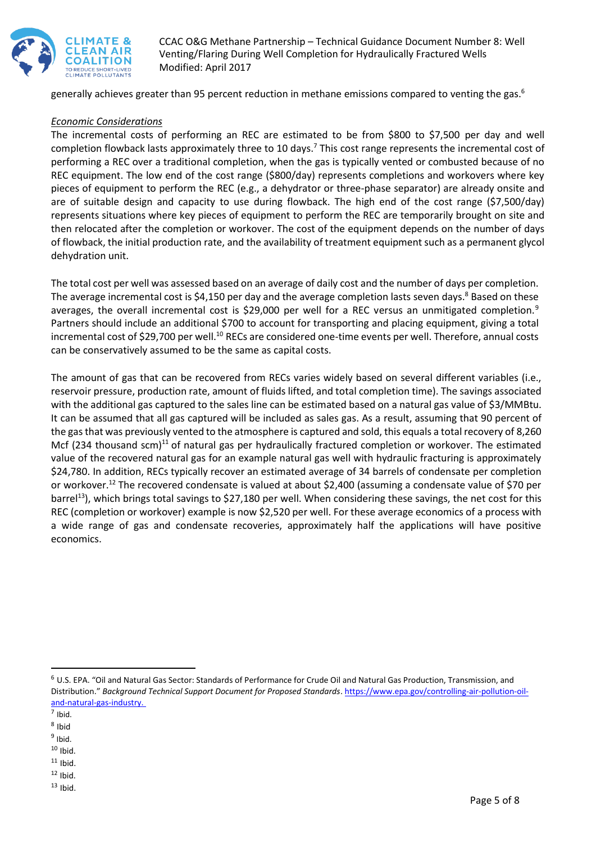

generally achieves greater than 95 percent reduction in methane emissions compared to venting the gas.<sup>6</sup>

#### *Economic Considerations*

The incremental costs of performing an REC are estimated to be from \$800 to \$7,500 per day and well completion flowback lasts approximately three to 10 days.<sup>7</sup> This cost range represents the incremental cost of performing a REC over a traditional completion, when the gas is typically vented or combusted because of no REC equipment. The low end of the cost range (\$800/day) represents completions and workovers where key pieces of equipment to perform the REC (e.g., a dehydrator or three-phase separator) are already onsite and are of suitable design and capacity to use during flowback. The high end of the cost range (\$7,500/day) represents situations where key pieces of equipment to perform the REC are temporarily brought on site and then relocated after the completion or workover. The cost of the equipment depends on the number of days of flowback, the initial production rate, and the availability of treatment equipment such as a permanent glycol dehydration unit.

The total cost per well was assessed based on an average of daily cost and the number of days per completion. The average incremental cost is \$4,150 per day and the average completion lasts seven days.<sup>8</sup> Based on these averages, the overall incremental cost is \$29,000 per well for a REC versus an unmitigated completion.<sup>9</sup> Partners should include an additional \$700 to account for transporting and placing equipment, giving a total incremental cost of \$29,700 per well.<sup>10</sup> RECs are considered one-time events per well. Therefore, annual costs can be conservatively assumed to be the same as capital costs.

The amount of gas that can be recovered from RECs varies widely based on several different variables (i.e., reservoir pressure, production rate, amount of fluids lifted, and total completion time). The savings associated with the additional gas captured to the sales line can be estimated based on a natural gas value of \$3/MMBtu. It can be assumed that all gas captured will be included as sales gas. As a result, assuming that 90 percent of the gas that was previously vented to the atmosphere is captured and sold, this equals a total recovery of 8,260 Mcf (234 thousand scm) $^{11}$  of natural gas per hydraulically fractured completion or workover. The estimated value of the recovered natural gas for an example natural gas well with hydraulic fracturing is approximately \$24,780. In addition, RECs typically recover an estimated average of 34 barrels of condensate per completion or workover.<sup>12</sup> The recovered condensate is valued at about \$2,400 (assuming a condensate value of \$70 per barrel<sup>13</sup>), which brings total savings to \$27,180 per well. When considering these savings, the net cost for this REC (completion or workover) example is now \$2,520 per well. For these average economics of a process with a wide range of gas and condensate recoveries, approximately half the applications will have positive economics.

 $\overline{a}$ 

 $10$  Ibid.

<sup>6</sup> U.S. EPA. "Oil and Natural Gas Sector: Standards of Performance for Crude Oil and Natural Gas Production, Transmission, and Distribution." *Background Technical Support Document for Proposed Standards*. https://www.epa.gov/controlling-air-pollution-oiland-natural-gas-industry.

<sup>7</sup> Ibid.

<sup>&</sup>lt;sup>8</sup> Ibid

<sup>&</sup>lt;sup>9</sup> Ibid.

 $11$  Ibid.

 $12$  Ibid.

 $13$  Ibid.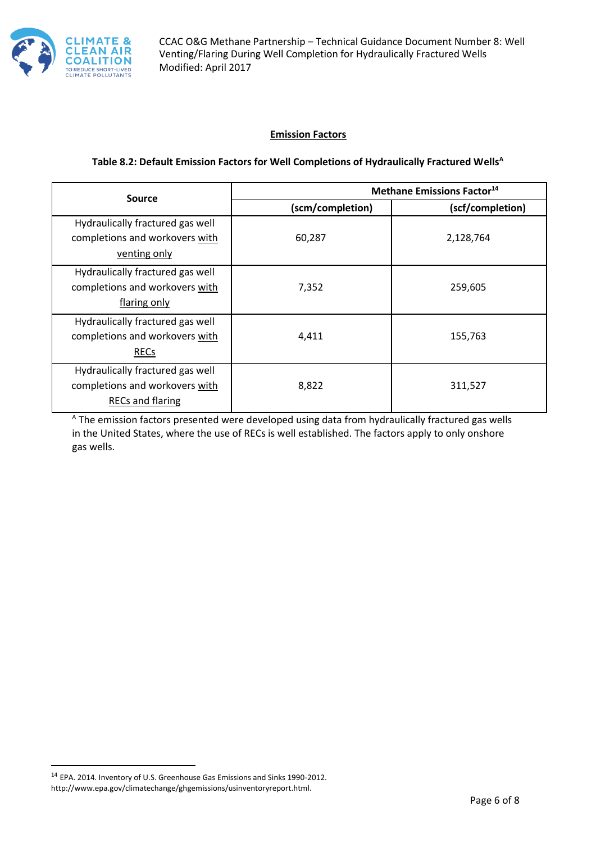

## **Emission Factors**

#### **Table 8.2: Default Emission Factors for Well Completions of Hydraulically Fractured Wells<sup>A</sup>**

| <b>Source</b><br>(scm/completion)                                                             | <b>Methane Emissions Factor<sup>14</sup></b> |           |
|-----------------------------------------------------------------------------------------------|----------------------------------------------|-----------|
|                                                                                               | (scf/completion)                             |           |
| Hydraulically fractured gas well<br>completions and workovers with<br>venting only            | 60,287                                       | 2,128,764 |
| Hydraulically fractured gas well<br>completions and workovers with<br>flaring only            | 7,352                                        | 259,605   |
| Hydraulically fractured gas well<br>completions and workovers with<br><b>RECs</b>             | 4,411                                        | 155,763   |
| Hydraulically fractured gas well<br>completions and workovers with<br><b>RECs and flaring</b> | 8,822                                        | 311,527   |

<sup>A</sup> The emission factors presented were developed using data from hydraulically fractured gas wells in the United States, where the use of RECs is well established. The factors apply to only onshore gas wells.

 $\overline{a}$ 

<sup>14</sup> EPA. 2014. Inventory of U.S. Greenhouse Gas Emissions and Sinks 1990-2012. http://www.epa.gov/climatechange/ghgemissions/usinventoryreport.html.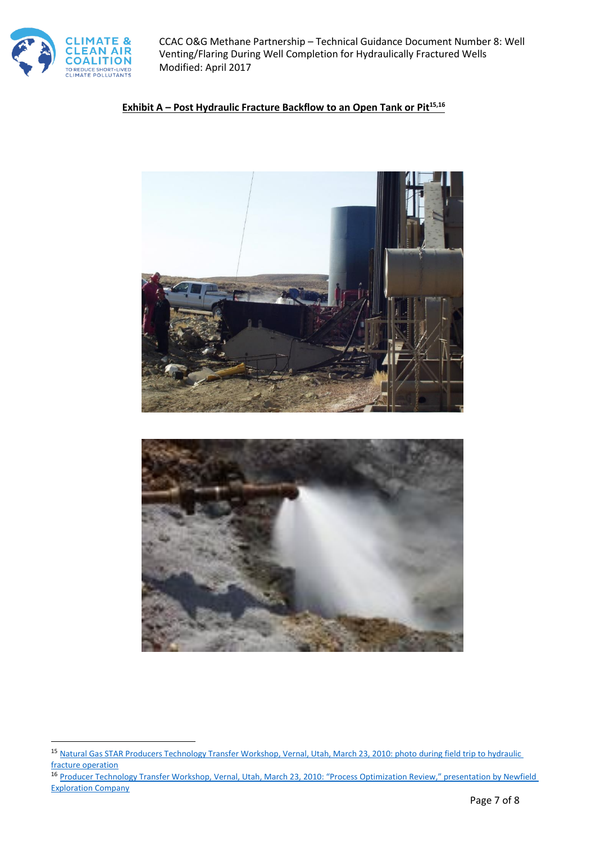

 $\overline{\phantom{a}}$ 

CCAC O&G Methane Partnership – Technical Guidance Document Number 8: Well Venting/Flaring During Well Completion for Hydraulically Fractured Wells Modified: April 2017

## **Exhibit A – Post Hydraulic Fracture Backflow to an Open Tank or Pit15,16**



<sup>15</sup> [Natural Gas STAR Producers Technology Transfer Workshop, Vernal, Utah, March 23, 2010: photo during field trip to hydraulic](http://twk.pm/nnlpohn8k9)  [fracture operation](http://twk.pm/nnlpohn8k9)

<sup>16</sup> Producer Technology Transfer Workshop, [Vernal, Utah, March 23, 2010: "Process Optimization Review," presentation by Newfield](http://twk.pm/dx949pwqq3)  [Exploration Company](http://twk.pm/dx949pwqq3)